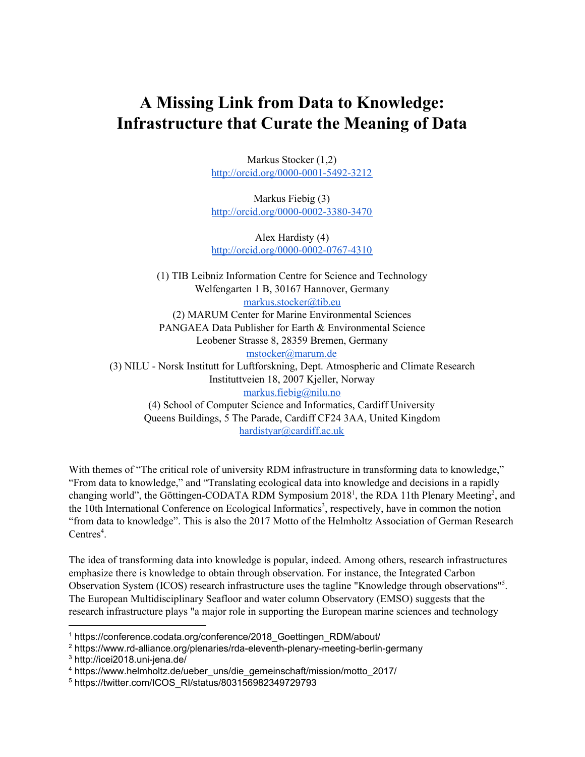## **A Missing Link from Data to Knowledge: Infrastructure that Curate the Meaning of Data**

Markus Stocker (1,2) <http://orcid.org/0000-0001-5492-3212>

Markus Fiebig (3) <http://orcid.org/0000-0002-3380-3470>

Alex Hardisty (4) <http://orcid.org/0000-0002-0767-4310>

(1) TIB Leibniz Information Centre for Science and Technology Welfengarten 1 B, 30167 Hannover, Germany [markus.stocker@tib.eu](mailto:markus.stocker@tib.eu) (2) MARUM Center for Marine Environmental Sciences PANGAEA Data Publisher for Earth & Environmental Science Leobener Strasse 8, 28359 Bremen, Germany [mstocker@marum.de](mailto:mstocker@marum.de) (3) NILU - Norsk Institutt for Luftforskning, Dept. Atmospheric and Climate Research Instituttveien 18, 2007 Kjeller, Norway [markus.fiebig@nilu.no](mailto:markus.fiebig@nilu.no) (4) School of Computer Science and Informatics, Cardiff University Queens Buildings, 5 The Parade, Cardiff CF24 3AA, United Kingdom [hardistyar@cardiff.ac.uk](mailto:hardistyar@cardiff.ac.uk)

With themes of "The critical role of university RDM infrastructure in transforming data to knowledge," "From data to knowledge," and "Translating ecological data into knowledge and decisions in a rapidly changing world", the Göttingen-CODATA RDM Symposium 2018<sup>1</sup>, the RDA 11th Plenary Meeting<sup>2</sup>, and the 10th International Conference on Ecological Informatics<sup>3</sup>, respectively, have in common the notion "from data to knowledge". This is also the 2017 Motto of the Helmholtz Association of German Research Centres $4$ .

The idea of transforming data into knowledge is popular, indeed. Among others, research infrastructures emphasize there is knowledge to obtain through observation. For instance, the Integrated Carbon Observation System (ICOS) research infrastructure uses the tagline "Knowledge through observations"<sup>5</sup>. The European Multidisciplinary Seafloor and water column Observatory (EMSO) suggests that the research infrastructure plays "a major role in supporting the European marine sciences and technology

<sup>&</sup>lt;sup>1</sup> https://conference.codata.org/conference/2018 Goettingen\_RDM/about/

<sup>2</sup> https://www.rd-alliance.org/plenaries/rda-eleventh-plenary-meeting-berlin-germany

<sup>3</sup> http://icei2018.uni-jena.de/

<sup>4</sup> https://www.helmholtz.de/ueber\_uns/die\_gemeinschaft/mission/motto\_2017/

<sup>5</sup> https://twitter.com/ICOS\_RI/status/803156982349729793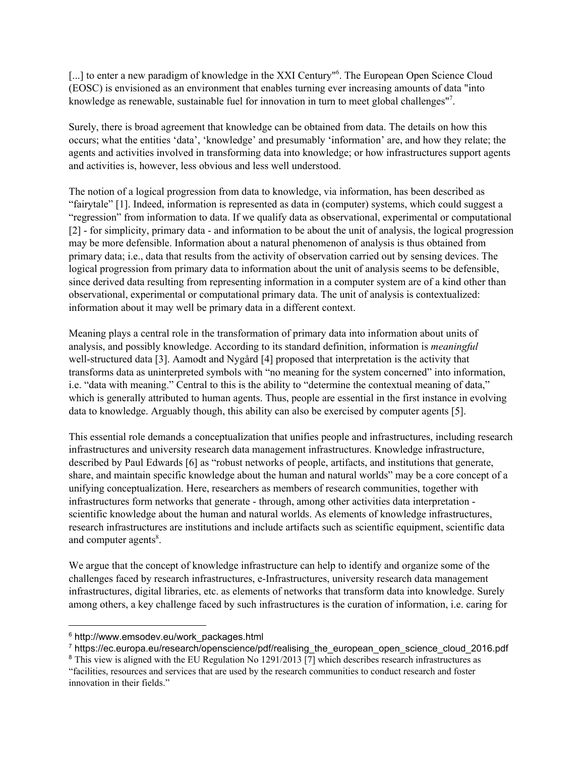[...] to enter a new paradigm of knowledge in the XXI Century"<sup>6</sup>. The European Open Science Cloud (EOSC) is envisioned as an environment that enables turning ever increasing amounts of data "into knowledge as renewable, sustainable fuel for innovation in turn to meet global challenges"<sup>7</sup>.

Surely, there is broad agreement that knowledge can be obtained from data. The details on how this occurs; what the entities 'data', 'knowledge' and presumably 'information' are, and how they relate; the agents and activities involved in transforming data into knowledge; or how infrastructures support agents and activities is, however, less obvious and less well understood.

The notion of a logical progression from data to knowledge, via information, has been described as "fairytale" [1]. Indeed, information is represented as data in (computer) systems, which could suggest a "regression" from information to data. If we qualify data as observational, experimental or computational [2] - for simplicity, primary data - and information to be about the unit of analysis, the logical progression may be more defensible. Information about a natural phenomenon of analysis is thus obtained from primary data; i.e., data that results from the activity of observation carried out by sensing devices. The logical progression from primary data to information about the unit of analysis seems to be defensible, since derived data resulting from representing information in a computer system are of a kind other than observational, experimental or computational primary data. The unit of analysis is contextualized: information about it may well be primary data in a different context.

Meaning plays a central role in the transformation of primary data into information about units of analysis, and possibly knowledge. According to its standard definition, information is *meaningful* well-structured data [3]. Aamodt and Nygård [4] proposed that interpretation is the activity that transforms data as uninterpreted symbols with "no meaning for the system concerned" into information, i.e. "data with meaning." Central to this is the ability to "determine the contextual meaning of data," which is generally attributed to human agents. Thus, people are essential in the first instance in evolving data to knowledge. Arguably though, this ability can also be exercised by computer agents [5].

This essential role demands a conceptualization that unifies people and infrastructures, including research infrastructures and university research data management infrastructures. Knowledge infrastructure, described by Paul Edwards [6] as "robust networks of people, artifacts, and institutions that generate, share, and maintain specific knowledge about the human and natural worlds" may be a core concept of a unifying conceptualization. Here, researchers as members of research communities, together with infrastructures form networks that generate - through, among other activities data interpretation scientific knowledge about the human and natural worlds. As elements of knowledge infrastructures, research infrastructures are institutions and include artifacts such as scientific equipment, scientific data and computer agents<sup>8</sup>.

We argue that the concept of knowledge infrastructure can help to identify and organize some of the challenges faced by research infrastructures, e-Infrastructures, university research data management infrastructures, digital libraries, etc. as elements of networks that transform data into knowledge. Surely among others, a key challenge faced by such infrastructures is the curation of information, i.e. caring for

<sup>&</sup>lt;sup>6</sup> http://www.emsodev.eu/work\_packages.html

<sup>7</sup> https://ec.europa.eu/research/openscience/pdf/realising\_the\_european\_open\_science\_cloud\_2016.pdf

<sup>&</sup>lt;sup>8</sup> This view is aligned with the EU Regulation No 1291/2013 [7] which describes research infrastructures as "facilities, resources and services that are used by the research communities to conduct research and foster innovation in their fields."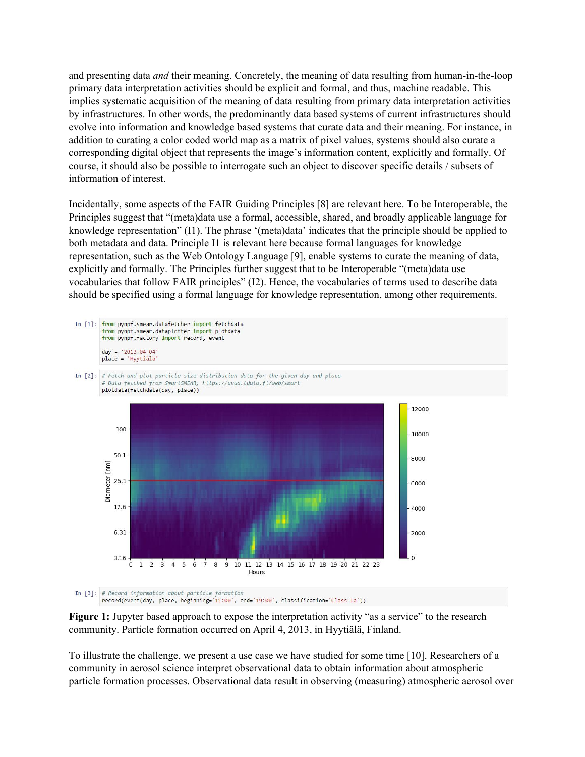and presenting data *and* their meaning. Concretely, the meaning of data resulting from human-in-the-loop primary data interpretation activities should be explicit and formal, and thus, machine readable. This implies systematic acquisition of the meaning of data resulting from primary data interpretation activities by infrastructures. In other words, the predominantly data based systems of current infrastructures should evolve into information and knowledge based systems that curate data and their meaning. For instance, in addition to curating a color coded world map as a matrix of pixel values, systems should also curate a corresponding digital object that represents the image's information content, explicitly and formally. Of course, it should also be possible to interrogate such an object to discover specific details / subsets of information of interest.

Incidentally, some aspects of the FAIR Guiding Principles [8] are relevant here. To be Interoperable, the Principles suggest that "(meta)data use a formal, accessible, shared, and broadly applicable language for knowledge representation" (I1). The phrase '(meta)data' indicates that the principle should be applied to both metadata and data. Principle I1 is relevant here because formal languages for knowledge representation, such as the Web Ontology Language [9], enable systems to curate the meaning of data, explicitly and formally. The Principles further suggest that to be Interoperable "(meta)data use vocabularies that follow FAIR principles" (I2). Hence, the vocabularies of terms used to describe data should be specified using a formal language for knowledge representation, among other requirements.





To illustrate the challenge, we present a use case we have studied for some time [10]. Researchers of a community in aerosol science interpret observational data to obtain information about atmospheric particle formation processes. Observational data result in observing (measuring) atmospheric aerosol over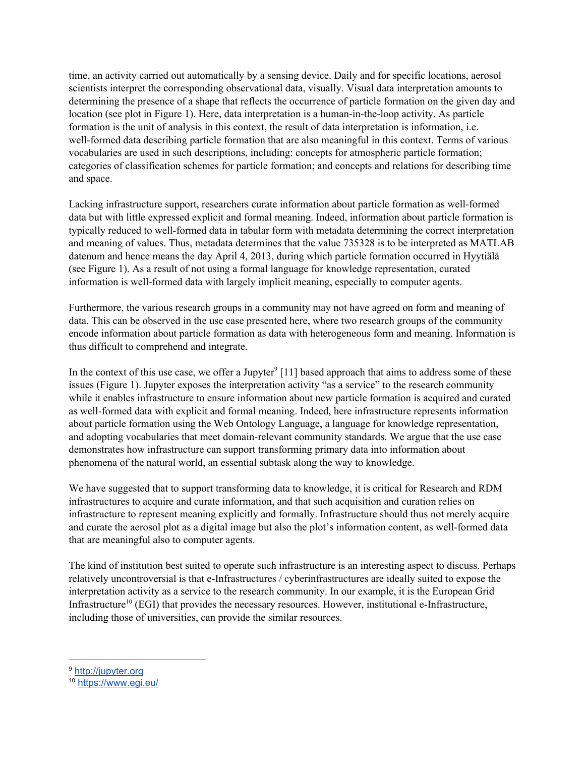time, an activity carried out automatically by a sensing device. Daily and for specific locations, aerosol scientists interpret the corresponding observational data, visually. Visual data interpretation amounts to determining the presence of a shape that reflects the occurrence of particle formation on the given day and location (see plot in Figure 1). Here, data interpretation is a human-in-the-loop activity. As particle formation is the unit of analysis in this context, the result of data interpretation is information, i.e. well-formed data describing particle formation that are also meaningful in this context. Terms of various vocabularies are used in such descriptions, including: concepts for atmospheric particle formation; categories of classification schemes for particle formation; and concepts and relations for describing time and space.

Lacking infrastructure support, researchers curate information about particle formation as well-formed data but with little expressed explicit and formal meaning. Indeed, information about particle formation is typically reduced to well-formed data in tabular form with metadata determining the correct interpretation and meaning of values. Thus, metadata determines that the value 735328 is to be interpreted as MATLAB datenum and hence means the day April 4, 2013, during which particle formation occurred in Hyytiälä (see Figure 1). As a result of not using a formal language for knowledge representation, curated information is well-formed data with largely implicit meaning, especially to computer agents.

Furthermore, the various research groups in a community may not have agreed on form and meaning of data. This can be observed in the use case presented here, where two research groups of the community encode information about particle formation as data with heterogeneous form and meaning. Information is thus difficult to comprehend and integrate.

In the context of this use case, we offer a Jupyter<sup>9</sup> [11] based approach that aims to address some of these issues (Figure 1). Jupyter exposes the interpretation activity "as a service" to the research community while it enables infrastructure to ensure information about new particle formation is acquired and curated as well-formed data with explicit and formal meaning. Indeed, here infrastructure represents information about particle formation using the Web Ontology Language, a language for knowledge representation, and adopting vocabularies that meet domain-relevant community standards. We argue that the use case demonstrates how infrastructure can support transforming primary data into information about phenomena of the natural world, an essential subtask along the way to knowledge.

We have suggested that to support transforming data to knowledge, it is critical for Research and RDM infrastructures to acquire and curate information, and that such acquisition and curation relies on infrastructure to represent meaning explicitly and formally. Infrastructure should thus not merely acquire and curate the aerosol plot as a digital image but also the plot's information content, as well-formed data that are meaningful also to computer agents.

The kind of institution best suited to operate such infrastructure is an interesting aspect to discuss. Perhaps relatively uncontroversial is that e-Infrastructures / cyberinfrastructures are ideally suited to expose the interpretation activity as a service to the research community. In our example, it is the European Grid Infrastructure<sup>10</sup> (EGI) that provides the necessary resources. However, institutional e-Infrastructure, including those of universities, can provide the similar resources.

<sup>9</sup> [http://jupyter.org](http://jupyter.org/)

<sup>10</sup> <https://www.egi.eu/>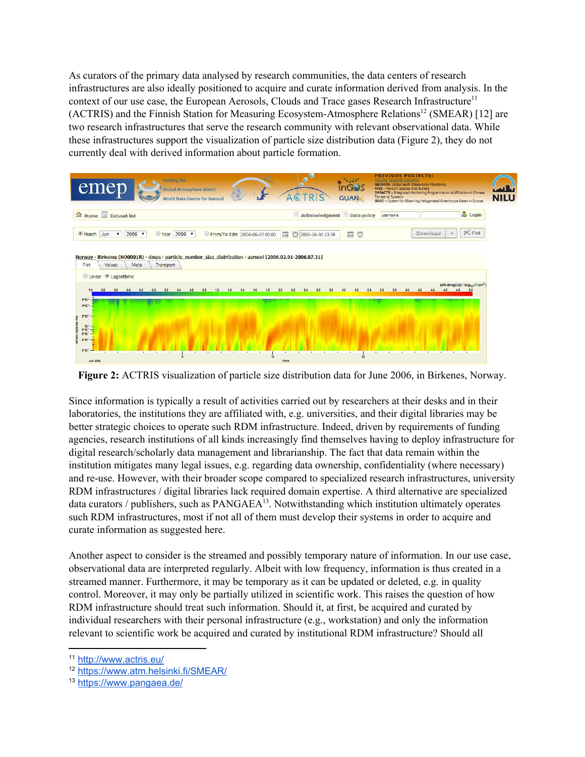As curators of the primary data analysed by research communities, the data centers of research infrastructures are also ideally positioned to acquire and curate information derived from analysis. In the context of our use case, the European Aerosols, Clouds and Trace gases Research Infrastructure<sup>11</sup> (ACTRIS) and the Finnish Station for Measuring Ecosystem-Atmosphere Relations<sup>12</sup> (SMEAR) [12] are two research infrastructures that serve the research community with relevant observational data. While these infrastructures support the visualization of particle size distribution data (Figure 2), they do not currently deal with derived information about particle formation.



**Figure 2:** ACTRIS visualization of particle size distribution data for June 2006, in Birkenes, Norway.

Since information is typically a result of activities carried out by researchers at their desks and in their laboratories, the institutions they are affiliated with, e.g. universities, and their digital libraries may be better strategic choices to operate such RDM infrastructure. Indeed, driven by requirements of funding agencies, research institutions of all kinds increasingly find themselves having to deploy infrastructure for digital research/scholarly data management and librarianship. The fact that data remain within the institution mitigates many legal issues, e.g. regarding data ownership, confidentiality (where necessary) and re-use. However, with their broader scope compared to specialized research infrastructures, university RDM infrastructures / digital libraries lack required domain expertise. A third alternative are specialized data curators / publishers, such as  $PANGAEA^{13}$ . Notwithstanding which institution ultimately operates such RDM infrastructures, most if not all of them must develop their systems in order to acquire and curate information as suggested here.

Another aspect to consider is the streamed and possibly temporary nature of information. In our use case, observational data are interpreted regularly. Albeit with low frequency, information is thus created in a streamed manner. Furthermore, it may be temporary as it can be updated or deleted, e.g. in quality control. Moreover, it may only be partially utilized in scientific work. This raises the question of how RDM infrastructure should treat such information. Should it, at first, be acquired and curated by individual researchers with their personal infrastructure (e.g., workstation) and only the information relevant to scientific work be acquired and curated by institutional RDM infrastructure? Should all

<sup>11</sup> <http://www.actris.eu/>

<sup>12</sup> <https://www.atm.helsinki.fi/SMEAR/>

<sup>13</sup> <https://www.pangaea.de/>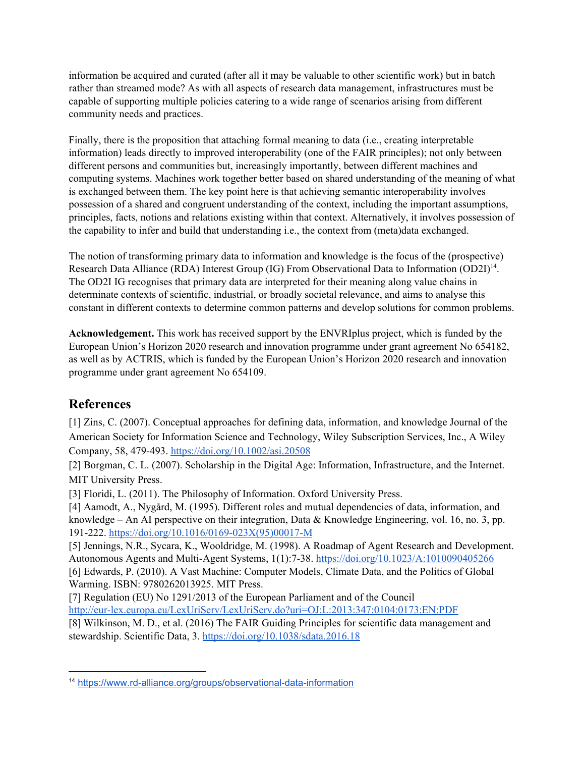information be acquired and curated (after all it may be valuable to other scientific work) but in batch rather than streamed mode? As with all aspects of research data management, infrastructures must be capable of supporting multiple policies catering to a wide range of scenarios arising from different community needs and practices.

Finally, there is the proposition that attaching formal meaning to data (i.e., creating interpretable information) leads directly to improved interoperability (one of the FAIR principles); not only between different persons and communities but, increasingly importantly, between different machines and computing systems. Machines work together better based on shared understanding of the meaning of what is exchanged between them. The key point here is that achieving semantic interoperability involves possession of a shared and congruent understanding of the context, including the important assumptions, principles, facts, notions and relations existing within that context. Alternatively, it involves possession of the capability to infer and build that understanding i.e., the context from (meta)data exchanged.

The notion of transforming primary data to information and knowledge is the focus of the (prospective) Research Data Alliance (RDA) Interest Group (IG) From Observational Data to Information (OD2I)<sup>14</sup>. The OD2I IG recognises that primary data are interpreted for their meaning along value chains in determinate contexts of scientific, industrial, or broadly societal relevance, and aims to analyse this constant in different contexts to determine common patterns and develop solutions for common problems.

**Acknowledgement.** This work has received support by the ENVRIplus project, which is funded by the European Union's Horizon 2020 research and innovation programme under grant agreement No 654182, as well as by ACTRIS, which is funded by the European Union's Horizon 2020 research and innovation programme under grant agreement No 654109.

## **References**

[1] Zins, C. (2007). Conceptual approaches for defining data, information, and knowledge Journal of the American Society for Information Science and Technology, Wiley Subscription Services, Inc., A Wiley Company, 58, 479-493. <https://doi.org/10.1002/asi.20508>

[2] Borgman, C. L. (2007). Scholarship in the Digital Age: Information, Infrastructure, and the Internet. MIT University Press.

[3] Floridi, L. (2011). The Philosophy of Information. Oxford University Press.

[4] Aamodt, A., Nygård, M. (1995). Different roles and mutual dependencies of data, information, and knowledge – An AI perspective on their integration, Data & Knowledge Engineering, vol. 16, no. 3, pp. 191-222. [https://doi.org/10.1016/0169-023X\(95\)00017-M](https://doi.org/10.1016/0169-023X(95)00017-M)

[5] Jennings, N.R., Sycara, K., Wooldridge, M. (1998). A Roadmap of Agent Research and Development. Autonomous Agents and Multi-Agent Systems, 1(1):7-38. <https://doi.org/10.1023/A:1010090405266> [6] Edwards, P. (2010). A Vast Machine: Computer Models, Climate Data, and the Politics of Global Warming. ISBN: 9780262013925. MIT Press.

[7] Regulation (EU) No 1291/2013 of the European Parliament and of the Council <http://eur-lex.europa.eu/LexUriServ/LexUriServ.do?uri=OJ:L:2013:347:0104:0173:EN:PDF>

[8] Wilkinson, M. D., et al. (2016) The FAIR Guiding Principles for scientific data management and stewardship. Scientific Data, 3. <https://doi.org/10.1038/sdata.2016.18>

<sup>14</sup> <https://www.rd-alliance.org/groups/observational-data-information>